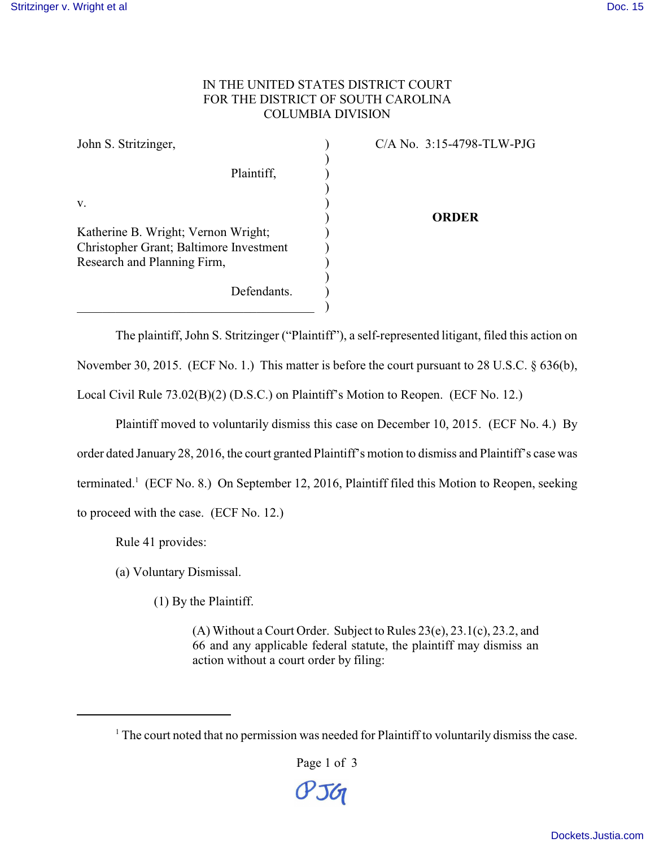## IN THE UNITED STATES DISTRICT COURT FOR THE DISTRICT OF SOUTH CAROLINA COLUMBIA DIVISION

| John S. Stritzinger,                    |             | $C/A$ No. 3:15-4798-TLW-PJG |
|-----------------------------------------|-------------|-----------------------------|
|                                         | Plaintiff,  |                             |
|                                         |             |                             |
| V.                                      |             | ORDER                       |
| Katherine B. Wright; Vernon Wright;     |             |                             |
| Christopher Grant; Baltimore Investment |             |                             |
| Research and Planning Firm,             |             |                             |
|                                         | Defendants. |                             |
|                                         |             |                             |

The plaintiff, John S. Stritzinger ("Plaintiff"), a self-represented litigant, filed this action on November 30, 2015. (ECF No. 1.) This matter is before the court pursuant to 28 U.S.C. § 636(b), Local Civil Rule 73.02(B)(2) (D.S.C.) on Plaintiff's Motion to Reopen. (ECF No. 12.)

Plaintiff moved to voluntarily dismiss this case on December 10, 2015. (ECF No. 4.) By order dated January 28, 2016, the court granted Plaintiff's motion to dismiss and Plaintiff's case was terminated.<sup>1</sup> (ECF No. 8.) On September 12, 2016, Plaintiff filed this Motion to Reopen, seeking to proceed with the case. (ECF No. 12.)

Rule 41 provides:

(a) Voluntary Dismissal.

(1) By the Plaintiff.

(A) Without a Court Order. Subject to Rules 23(e), 23.1(c), 23.2, and 66 and any applicable federal statute, the plaintiff may dismiss an action without a court order by filing:

Page 1 of 3

**PJG** 

 $<sup>1</sup>$  The court noted that no permission was needed for Plaintiff to voluntarily dismiss the case.</sup>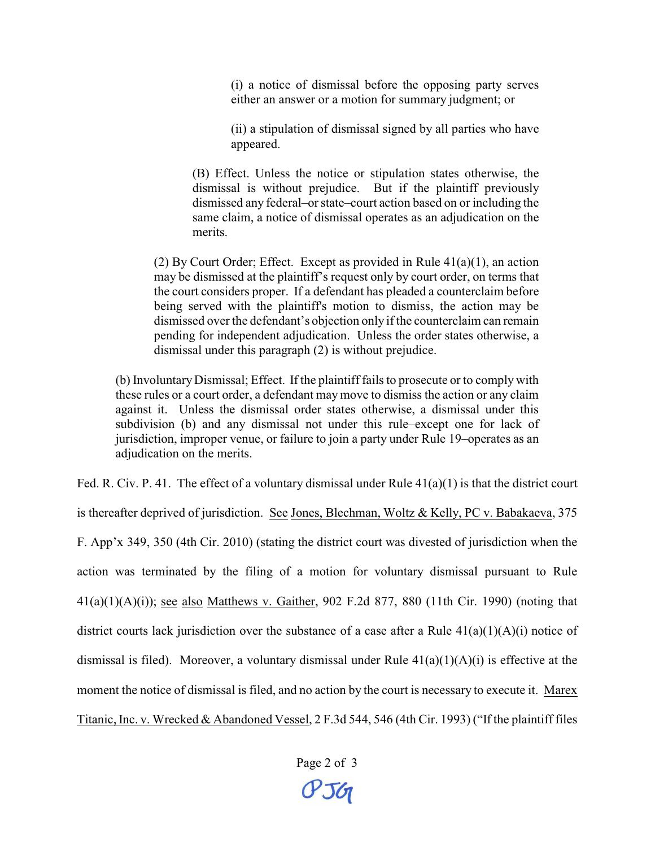(i) a notice of dismissal before the opposing party serves either an answer or a motion for summary judgment; or

(ii) a stipulation of dismissal signed by all parties who have appeared.

(B) Effect. Unless the notice or stipulation states otherwise, the dismissal is without prejudice. But if the plaintiff previously dismissed any federal–or state–court action based on or including the same claim, a notice of dismissal operates as an adjudication on the merits.

(2) By Court Order; Effect. Except as provided in Rule 41(a)(1), an action may be dismissed at the plaintiff's request only by court order, on terms that the court considers proper. If a defendant has pleaded a counterclaim before being served with the plaintiff's motion to dismiss, the action may be dismissed over the defendant's objection only if the counterclaim can remain pending for independent adjudication. Unless the order states otherwise, a dismissal under this paragraph (2) is without prejudice.

(b) Involuntary Dismissal; Effect. If the plaintiff fails to prosecute or to comply with these rules or a court order, a defendant may move to dismiss the action or any claim against it. Unless the dismissal order states otherwise, a dismissal under this subdivision (b) and any dismissal not under this rule–except one for lack of jurisdiction, improper venue, or failure to join a party under Rule 19–operates as an adjudication on the merits.

Fed. R. Civ. P. 41. The effect of a voluntary dismissal under Rule  $41(a)(1)$  is that the district court

is thereafter deprived of jurisdiction. See Jones, Blechman, Woltz & Kelly, PC v. Babakaeva, 375

F. App'x 349, 350 (4th Cir. 2010) (stating the district court was divested of jurisdiction when the action was terminated by the filing of a motion for voluntary dismissal pursuant to Rule  $41(a)(1)(A)(i)$ ; see also Matthews v. Gaither, 902 F.2d 877, 880 (11th Cir. 1990) (noting that district courts lack jurisdiction over the substance of a case after a Rule  $41(a)(1)(A)(i)$  notice of dismissal is filed). Moreover, a voluntary dismissal under Rule  $41(a)(1)(A)(i)$  is effective at the moment the notice of dismissal is filed, and no action by the court is necessary to execute it. Marex Titanic, Inc. v. Wrecked & Abandoned Vessel, 2 F.3d 544, 546 (4th Cir. 1993) ("If the plaintiff files

Page 2 of 3

**PJG**